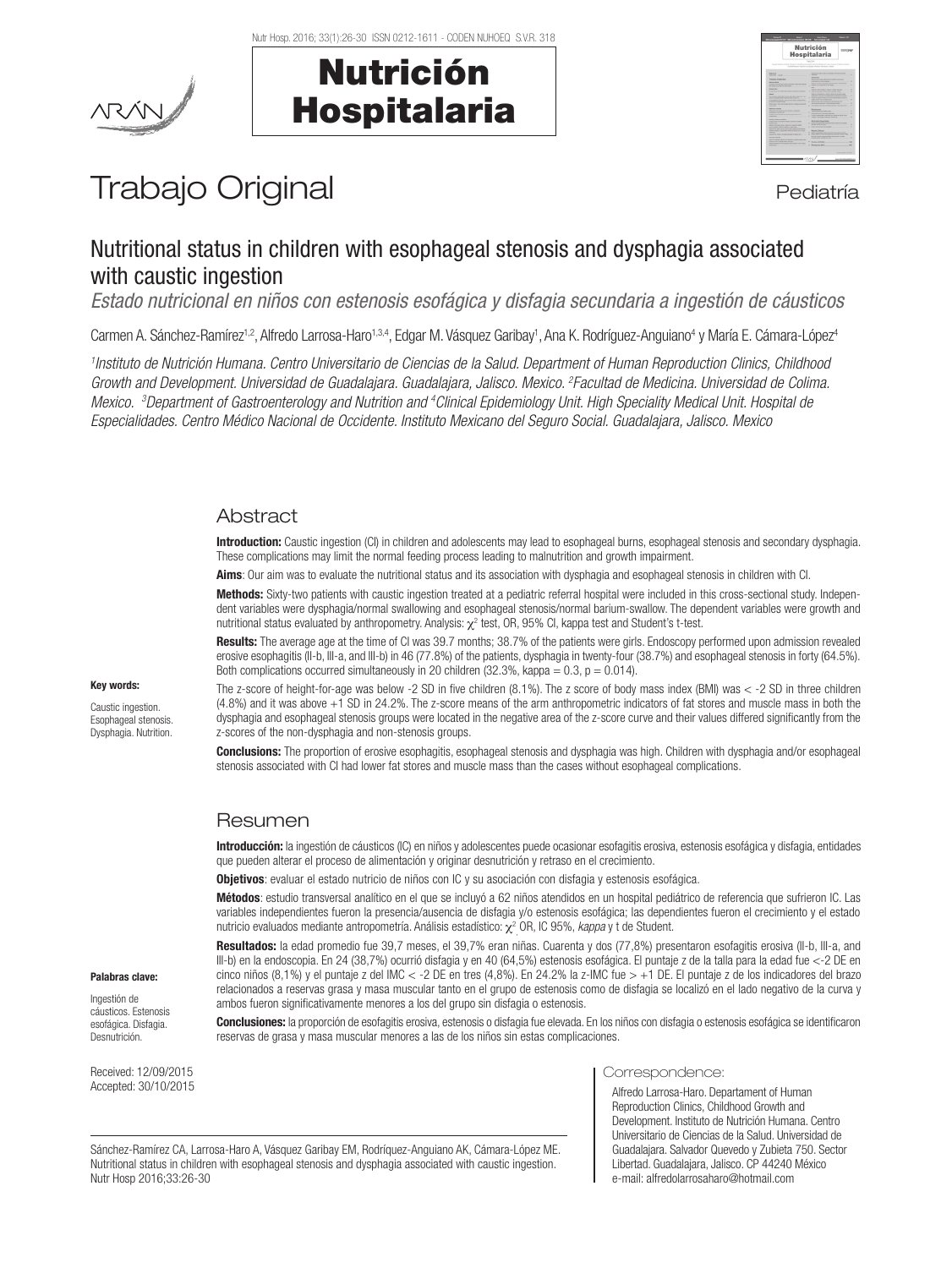



| <b>Nutrición</b><br>Hospitalaria<br>formatisation in home formation and functions in furniture afformations, from an information for the<br>class Kieners basis a brands a learn down o'anter-                                                                                                                                                                                                                                                                                                                                                                                                                                                                                                                                                                                                                                                                                                                                                                                                                                                                                                                                                                                                                                                                                                                                                                                                                                                                                                      |                                                                                                                                                                                                                                                                                                                                                                                                                                                                                                                                                                                                                                                                                                                                                                                                                                                                                                                                                                                                                                                                                                                                                                                                                                                                                                                                                                                                                                                                                                                                                                                                                                                                                                                                                         |  |  |  |  |  |  |  |
|-----------------------------------------------------------------------------------------------------------------------------------------------------------------------------------------------------------------------------------------------------------------------------------------------------------------------------------------------------------------------------------------------------------------------------------------------------------------------------------------------------------------------------------------------------------------------------------------------------------------------------------------------------------------------------------------------------------------------------------------------------------------------------------------------------------------------------------------------------------------------------------------------------------------------------------------------------------------------------------------------------------------------------------------------------------------------------------------------------------------------------------------------------------------------------------------------------------------------------------------------------------------------------------------------------------------------------------------------------------------------------------------------------------------------------------------------------------------------------------------------------|---------------------------------------------------------------------------------------------------------------------------------------------------------------------------------------------------------------------------------------------------------------------------------------------------------------------------------------------------------------------------------------------------------------------------------------------------------------------------------------------------------------------------------------------------------------------------------------------------------------------------------------------------------------------------------------------------------------------------------------------------------------------------------------------------------------------------------------------------------------------------------------------------------------------------------------------------------------------------------------------------------------------------------------------------------------------------------------------------------------------------------------------------------------------------------------------------------------------------------------------------------------------------------------------------------------------------------------------------------------------------------------------------------------------------------------------------------------------------------------------------------------------------------------------------------------------------------------------------------------------------------------------------------------------------------------------------------------------------------------------------------|--|--|--|--|--|--|--|
| <b>MARCHER</b><br>would control the company of<br><b><i><u><i><u><b>Transferred Managers</b></u></i></u></i></b><br><b>March Address</b><br>between the car as it what allows or paid of stations<br>the state and the control of the con-<br><b>SALE AND</b><br>in a low of the substantial and countries in the con-<br>the company of the Automotive Australian and Canada and Canada<br>with the strategy below had as below lacer 2011.<br><b>NAME OF GROOM COOPERATION</b><br>of Article of the Article<br>What was a block and annual term of future account.<br>And Mid-<br><b>NORTHERN</b><br><b>A the country of the country of the country of the country of the country of the country of the country of the country of the country of the country of the country of the country of the country of the country of the count</b><br>the address of a state that the contract of the<br><b>CONTRACTOR COMPANY IN THE REAL PROPERTY AND</b><br>books by the company of the<br><b>Brown College College</b><br>To believ shown from provided and provided a section<br><b>BASE AN AREA WAS IMPOUNDED TO AN A</b><br>the a streamly dealer is book a company from<br><b>WASH PERSONAL AND ARRAIGNMENT</b><br>A discussion constraint material state for a sec-<br>striked to the company of the company<br><b>SALE AS VIOLENCE ROAD A SALE N.C.</b><br><b>TAXABLE INTERNATIONAL</b><br><b>NAME AND POST OFFICE ADDRESS OF TAXABLE PARTIES.</b><br><b>STATISTICS IN A STORY CORP. CONTROL</b> | <b>BALLAS MUSIC &amp; BALLAS MUSIC LIBRARY AND ALL AND</b><br>the party of the control of the control of the control of the control of the control of<br><b>STATISTICS</b><br>book at a concert refined its handlest determination<br>A discussion into public control to the con-<br>÷<br>the art was a street and come on the state<br>wants or to propriet to har more. The con-<br>ï<br>-<br>ada ay anisana a sana data atawa .<br>i<br>THE R. P. LEWIS CO., LANSING, MICH. 49-14039-1-120-2<br>has no instrument a membrane or at once recen-<br>and also indices a to attention a study in future<br>house a resolution on the time with state of the<br>٠<br><b>WAR BO FURNISHER &amp; COMPANY</b><br>۰<br>Belle Latine who would a better a county<br>٠<br><b>ATLANTA AVAILABLE CARD EN AND COMMUNITY</b><br>but were workers and when you are the com-<br>÷<br>٠<br>Beatracer<br><b>Including a state and control of the con-</b><br>÷<br>٠<br><b>Photographical and an advertising the company of the company of the company of the company of the company of the company of the company of the company of the company of the company of the company of the company of the com</b><br>۰<br>from potential color of actions with a dis-<br>ï<br>Their column Cabine schools.<br><b>Administration</b><br><b>BARBARA MARA BERTHA BARBARA</b><br><b>PARADISE CAR COMMUNISTIC</b><br>٠<br>hard structure for the same company<br>٠<br>٠<br><b>Roder Chicken</b><br>٠<br>between the same company of the annual state of the<br>dent is should also the first screen and several con-<br>٠<br>٠<br>The country with the country what is why<br><b>NAME OF GROOM AND POST OFFICE ADDRESS</b><br>٠<br>Casher of Editor Committee Committee<br>$\sim$ |  |  |  |  |  |  |  |

# Trabajo Original en el estatubación de la pediatría

# Nutritional status in children with esophageal stenosis and dysphagia associated with caustic ingestion

*Estado nutricional en niños con estenosis esofágica y disfagia secundaria a ingestión de cáusticos*

Carmen A. Sánchez-Ramírez<sup>1,2</sup>, Alfredo Larrosa-Haro<sup>1,3,4</sup>, Edgar M. Vásquez Garibay<sup>1</sup>, Ana K. Rodríguez-Anguiano<sup>4</sup> y María E. Cámara-López<sup>4</sup>

*1 Instituto de Nutrición Humana. Centro Universitario de Ciencias de la Salud. Department of Human Reproduction Clinics, Childhood Growth and Development. Universidad de Guadalajara. Guadalajara, Jalisco. Mexico. 2 Facultad de Medicina. Universidad de Colima.*  Mexico. <sup>3</sup>Department of Gastroenterology and Nutrition and <sup>4</sup>Clinical Epidemiology Unit. High Speciality Medical Unit. Hospital de *Especialidades. Centro Médico Nacional de Occidente. Instituto Mexicano del Seguro Social. Guadalajara, Jalisco. Mexico*

# **Abstract**

Introduction: Caustic ingestion (CI) in children and adolescents may lead to esophageal burns, esophageal stenosis and secondary dysphagia. These complications may limit the normal feeding process leading to malnutrition and growth impairment.

Aims: Our aim was to evaluate the nutritional status and its association with dysphagia and esophageal stenosis in children with CI.

Methods: Sixty-two patients with caustic ingestion treated at a pediatric referral hospital were included in this cross-sectional study. Independent variables were dysphagia/normal swallowing and esophageal stenosis/normal barium-swallow. The dependent variables were growth and nutritional status evaluated by anthropometry. Analysis:  $\chi^2$  test, OR, 95% CI, kappa test and Student's t-test.

Results: The average age at the time of CI was 39.7 months; 38.7% of the patients were girls. Endoscopy performed upon admission revealed erosive esophagitis (II-b, III-a, and III-b) in 46 (77.8%) of the patients, dysphagia in twenty-four (38.7%) and esophageal stenosis in forty (64.5%). Both complications occurred simultaneously in 20 children (32.3%, kappa =  $0.3$ ,  $p = 0.014$ ).

The z-score of height-for-age was below -2 SD in five children (8.1%). The z score of body mass index (BMI) was < -2 SD in three children (4.8%) and it was above +1 SD in 24.2%. The z-score means of the arm anthropometric indicators of fat stores and muscle mass in both the dysphagia and esophageal stenosis groups were located in the negative area of the z-score curve and their values differed significantly from the z-scores of the non-dysphagia and non-stenosis groups.

**Conclusions:** The proportion of erosive esophagitis, esophageal stenosis and dysphagia was high. Children with dysphagia and/or esophageal stenosis associated with CI had lower fat stores and muscle mass than the cases without esophageal complications.

# **Resumen**

Introducción: la ingestión de cáusticos (IC) en niños y adolescentes puede ocasionar esofagitis erosiva, estenosis esofágica y disfagia, entidades que pueden alterar el proceso de alimentación y originar desnutrición y retraso en el crecimiento.

**Objetivos**: evaluar el estado nutricio de niños con IC y su asociación con disfagia y estenosis esofágica.

Métodos: estudio transversal analítico en el que se incluyó a 62 niños atendidos en un hospital pediátrico de referencia que sufrieron IC. Las variables independientes fueron la presencia/ausencia de disfagia y/o estenosis esofágica; las dependientes fueron el crecimiento y el estado nutricio evaluados mediante antropometría. Análisis estadístico:  $\chi^2$  OR, IC 95%, *kappa* y t de Student.

Resultados: la edad promedio fue 39,7 meses, el 39,7% eran niñas. Cuarenta y dos (77,8%) presentaron esofagitis erosiva (II-b, III-a, and III-b) en la endoscopia. En 24 (38,7%) ocurrió disfagia y en 40 (64,5%) estenosis esofágica. El puntaje z de la talla para la edad fue <-2 DE en cinco niños (8,1%) y el puntaje z del IMC < -2 DE en tres (4,8%). En 24.2% la z-IMC fue > +1 DE. El puntaje z de los indicadores del brazo relacionados a reservas grasa y masa muscular tanto en el grupo de estenosis como de disfagia se localizó en el lado negativo de la curva y ambos fueron significativamente menores a los del grupo sin disfagia o estenosis.

Conclusiones: la proporción de esofagitis erosiva, estenosis o disfagia fue elevada. En los niños con disfagia o estenosis esofágica se identificaron reservas de grasa y masa muscular menores a las de los niños sin estas complicaciones.

Received: 12/09/2015 Accepted: 30/10/2015

Palabras clave: Ingestión de cáusticos. Estenosis esofágica. Disfagia. Desnutrición.

Key words: Caustic ingestion. Esophageal stenosis. Dysphagia. Nutrition.

#### Correspondence:

Alfredo Larrosa-Haro. Departament of Human Reproduction Clinics, Childhood Growth and Development. Instituto de Nutrición Humana. Centro Universitario de Ciencias de la Salud. Universidad de Guadalajara. Salvador Quevedo y Zubieta 750. Sector Libertad. Guadalajara, Jalisco. CP 44240 México e-mail: alfredolarrosaharo@hotmail.com

Sánchez-Ramírez CA, Larrosa-Haro A, Vásquez Garibay EM, Rodríquez-Anguiano AK, Cámara-López ME. Nutritional status in children with esophageal stenosis and dysphagia associated with caustic ingestion. Nutr Hosp 2016;33:26-30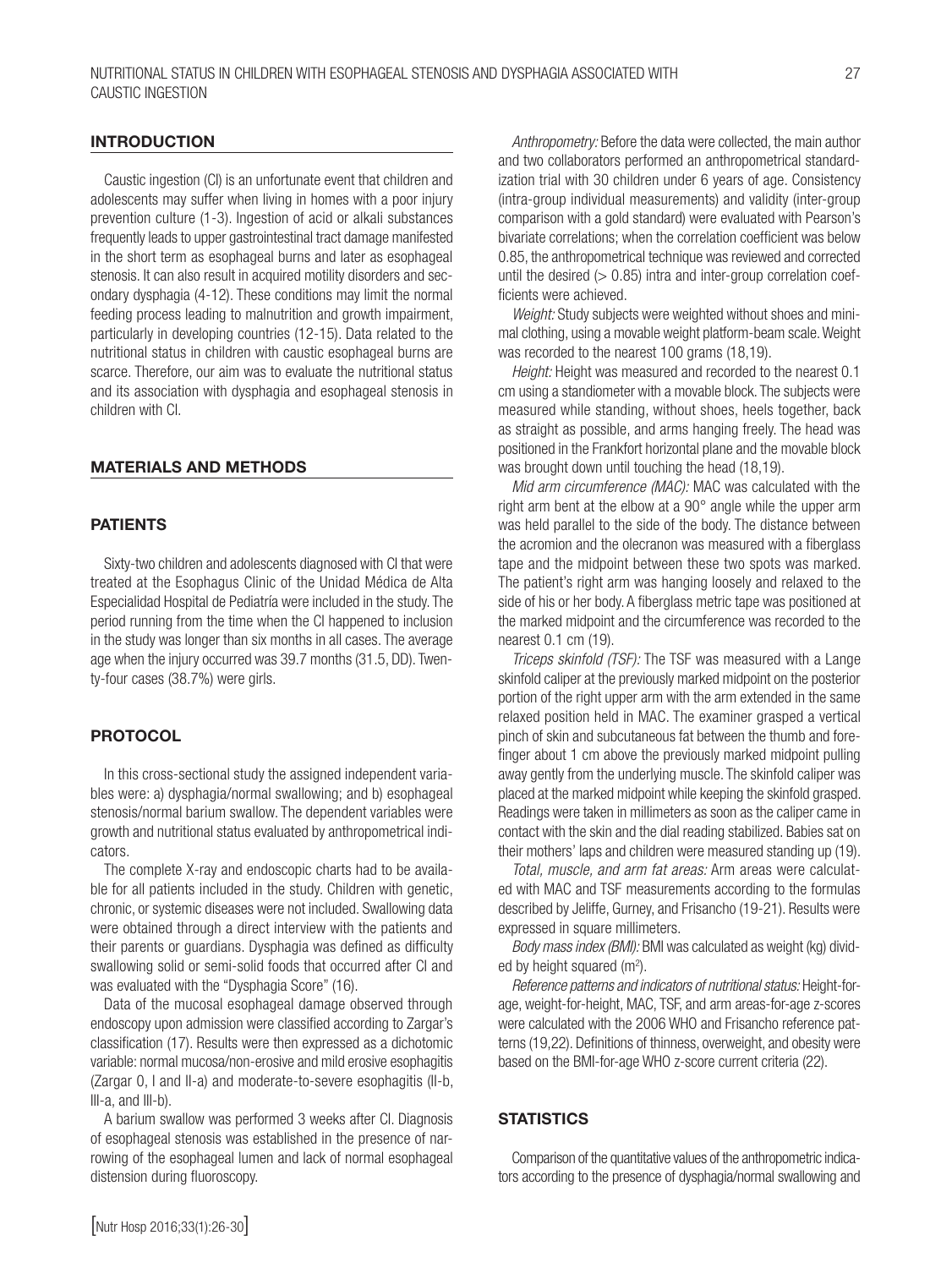# **INTRODUCTION**

Caustic ingestion (CI) is an unfortunate event that children and adolescents may suffer when living in homes with a poor injury prevention culture (1-3). Ingestion of acid or alkali substances frequently leads to upper gastrointestinal tract damage manifested in the short term as esophageal burns and later as esophageal stenosis. It can also result in acquired motility disorders and secondary dysphagia (4-12). These conditions may limit the normal feeding process leading to malnutrition and growth impairment, particularly in developing countries (12-15). Data related to the nutritional status in children with caustic esophageal burns are scarce. Therefore, our aim was to evaluate the nutritional status and its association with dysphagia and esophageal stenosis in children with CI.

# MATERIALS AND METHODS

# PATIENTS

Sixty-two children and adolescents diagnosed with CI that were treated at the Esophagus Clinic of the Unidad Médica de Alta Especialidad Hospital de Pediatría were included in the study. The period running from the time when the CI happened to inclusion in the study was longer than six months in all cases. The average age when the injury occurred was 39.7 months (31.5, DD). Twenty-four cases (38.7%) were girls.

# **PROTOCOL**

In this cross-sectional study the assigned independent variables were: a) dysphagia/normal swallowing; and b) esophageal stenosis/normal barium swallow. The dependent variables were growth and nutritional status evaluated by anthropometrical indicators.

The complete X-ray and endoscopic charts had to be available for all patients included in the study. Children with genetic, chronic, or systemic diseases were not included. Swallowing data were obtained through a direct interview with the patients and their parents or guardians. Dysphagia was defined as difficulty swallowing solid or semi-solid foods that occurred after CI and was evaluated with the "Dysphagia Score" (16).

Data of the mucosal esophageal damage observed through endoscopy upon admission were classified according to Zargar's classification (17). Results were then expressed as a dichotomic variable: normal mucosa/non-erosive and mild erosive esophagitis (Zargar 0, I and II-a) and moderate-to-severe esophagitis (II-b, III-a, and III-b).

A barium swallow was performed 3 weeks after CI. Diagnosis of esophageal stenosis was established in the presence of narrowing of the esophageal lumen and lack of normal esophageal distension during fluoroscopy.

*Anthropometry:* Before the data were collected, the main author and two collaborators performed an anthropometrical standardization trial with 30 children under 6 years of age. Consistency (intra-group individual measurements) and validity (inter-group comparison with a gold standard) were evaluated with Pearson's bivariate correlations; when the correlation coefficient was below 0.85, the anthropometrical technique was reviewed and corrected until the desired  $(> 0.85)$  intra and inter-group correlation coefficients were achieved.

*Weight:* Study subjects were weighted without shoes and minimal clothing, using a movable weight platform-beam scale. Weight was recorded to the nearest 100 grams (18,19).

*Height:* Height was measured and recorded to the nearest 0.1 cm using a standiometer with a movable block. The subjects were measured while standing, without shoes, heels together, back as straight as possible, and arms hanging freely. The head was positioned in the Frankfort horizontal plane and the movable block was brought down until touching the head (18,19).

*Mid arm circumference (MAC):* MAC was calculated with the right arm bent at the elbow at a 90° angle while the upper arm was held parallel to the side of the body. The distance between the acromion and the olecranon was measured with a fiberglass tape and the midpoint between these two spots was marked. The patient's right arm was hanging loosely and relaxed to the side of his or her body. A fiberglass metric tape was positioned at the marked midpoint and the circumference was recorded to the nearest 0.1 cm (19).

*Triceps skinfold (TSF):* The TSF was measured with a Lange skinfold caliper at the previously marked midpoint on the posterior portion of the right upper arm with the arm extended in the same relaxed position held in MAC. The examiner grasped a vertical pinch of skin and subcutaneous fat between the thumb and forefinger about 1 cm above the previously marked midpoint pulling away gently from the underlying muscle. The skinfold caliper was placed at the marked midpoint while keeping the skinfold grasped. Readings were taken in millimeters as soon as the caliper came in contact with the skin and the dial reading stabilized. Babies sat on their mothers' laps and children were measured standing up (19).

*Total, muscle, and arm fat areas:* Arm areas were calculated with MAC and TSF measurements according to the formulas described by Jeliffe, Gurney, and Frisancho (19-21). Results were expressed in square millimeters.

*Body mass index (BMI):* BMI was calculated as weight (kg) divided by height squared  $(m<sup>2</sup>)$ .

*Reference patterns and indicators of nutritional status:* Height-forage, weight-for-height, MAC, TSF, and arm areas-for-age z-scores were calculated with the 2006 WHO and Frisancho reference patterns (19,22). Definitions of thinness, overweight, and obesity were based on the BMI-for-age WHO z-score current criteria (22).

#### **STATISTICS**

Comparison of the quantitative values of the anthropometric indicators according to the presence of dysphagia/normal swallowing and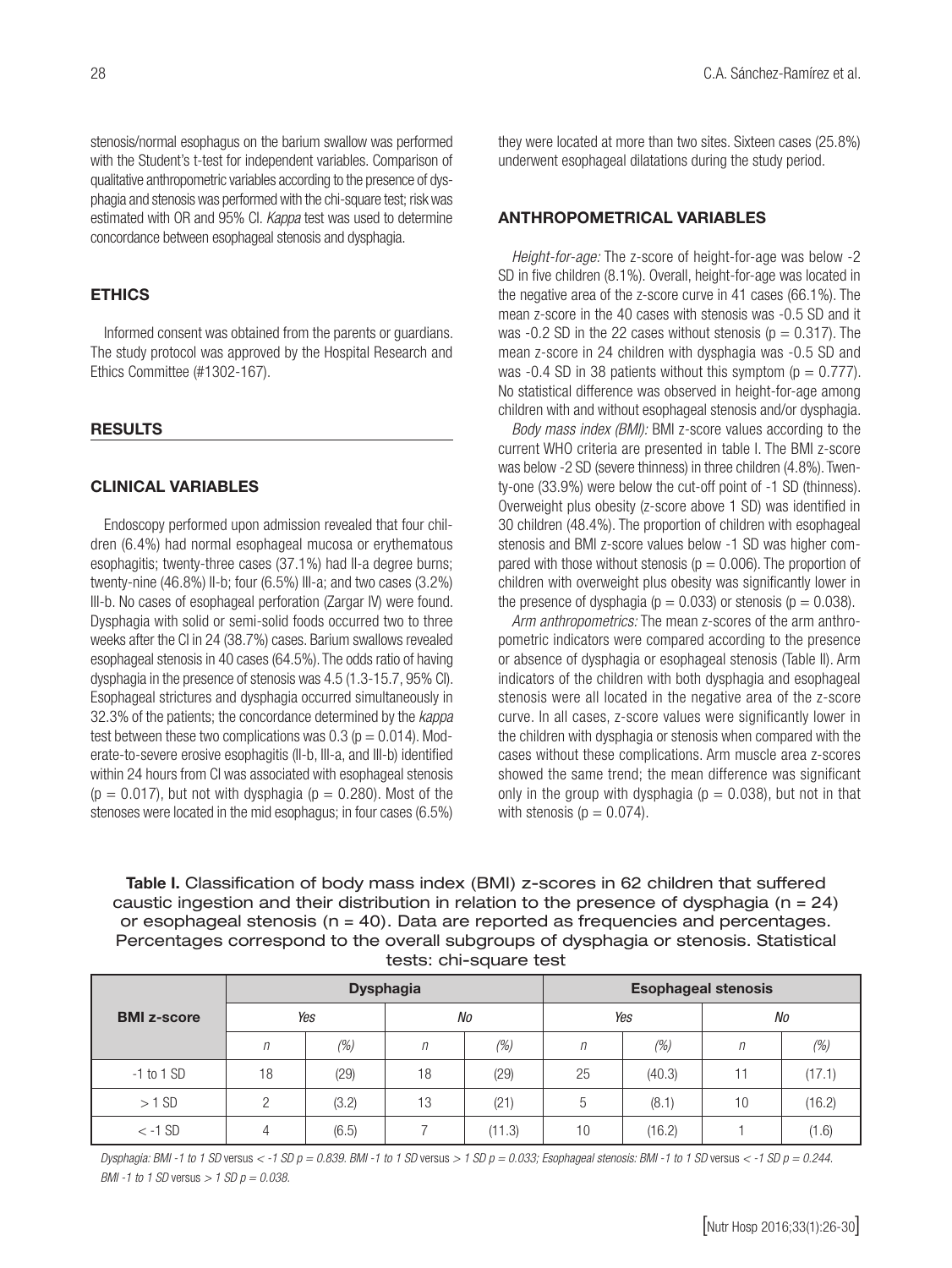stenosis/normal esophagus on the barium swallow was performed with the Student's t-test for independent variables. Comparison of qualitative anthropometric variables according to the presence of dysphagia and stenosis was performed with the chi-square test; risk was estimated with OR and 95% CI. *Kappa* test was used to determine concordance between esophageal stenosis and dysphagia.

# **ETHICS**

Informed consent was obtained from the parents or guardians. The study protocol was approved by the Hospital Research and Ethics Committee (#1302-167).

# RESULTS

# CLINICAL VARIABLES

Endoscopy performed upon admission revealed that four children (6.4%) had normal esophageal mucosa or erythematous esophagitis; twenty-three cases (37.1%) had II-a degree burns; twenty-nine (46.8%) II-b; four (6.5%) III-a; and two cases (3.2%) III-b. No cases of esophageal perforation (Zargar IV) were found. Dysphagia with solid or semi-solid foods occurred two to three weeks after the CI in 24 (38.7%) cases. Barium swallows revealed esophageal stenosis in 40 cases (64.5%). The odds ratio of having dysphagia in the presence of stenosis was 4.5 (1.3-15.7, 95% CI). Esophageal strictures and dysphagia occurred simultaneously in 32.3% of the patients; the concordance determined by the *kappa* test between these two complications was  $0.3$  ( $p = 0.014$ ). Moderate-to-severe erosive esophagitis (II-b, III-a, and III-b) identified within 24 hours from CI was associated with esophageal stenosis  $(p = 0.017)$ , but not with dysphagia  $(p = 0.280)$ . Most of the stenoses were located in the mid esophagus; in four cases (6.5%)

they were located at more than two sites. Sixteen cases (25.8%) underwent esophageal dilatations during the study period.

# ANTHROPOMETRICAL VARIABLES

*Height-for-age:* The z-score of height-for-age was below -2 SD in five children (8.1%). Overall, height-for-age was located in the negative area of the z-score curve in 41 cases (66.1%). The mean z-score in the 40 cases with stenosis was -0.5 SD and it was  $-0.2$  SD in the 22 cases without stenosis ( $p = 0.317$ ). The mean z-score in 24 children with dysphagia was -0.5 SD and was -0.4 SD in 38 patients without this symptom ( $p = 0.777$ ). No statistical difference was observed in height-for-age among children with and without esophageal stenosis and/or dysphagia.

*Body mass index (BMI):* BMI z-score values according to the current WHO criteria are presented in table I. The BMI z-score was below -2 SD (severe thinness) in three children (4.8%). Twenty-one (33.9%) were below the cut-off point of -1 SD (thinness). Overweight plus obesity (z-score above 1 SD) was identified in 30 children (48.4%). The proportion of children with esophageal stenosis and BMI z-score values below -1 SD was higher compared with those without stenosis ( $p = 0.006$ ). The proportion of children with overweight plus obesity was significantly lower in the presence of dysphagia ( $p = 0.033$ ) or stenosis ( $p = 0.038$ ).

*Arm anthropometrics:* The mean z-scores of the arm anthropometric indicators were compared according to the presence or absence of dysphagia or esophageal stenosis (Table II). Arm indicators of the children with both dysphagia and esophageal stenosis were all located in the negative area of the z-score curve. In all cases, z-score values were significantly lower in the children with dysphagia or stenosis when compared with the cases without these complications. Arm muscle area z-scores showed the same trend; the mean difference was significant only in the group with dysphagia ( $p = 0.038$ ), but not in that with stenosis ( $p = 0.074$ ).

Table I. Classification of body mass index (BMI) z-scores in 62 children that suffered caustic ingestion and their distribution in relation to the presence of dysphagia ( $n = 24$ ) or esophageal stenosis (n = 40). Data are reported as frequencies and percentages. Percentages correspond to the overall subgroups of dysphagia or stenosis. Statistical tests: chi-square test

| <b>BMI z-score</b> |     |       | <b>Dysphagia</b> |        | <b>Esophageal stenosis</b> |         |    |        |  |
|--------------------|-----|-------|------------------|--------|----------------------------|---------|----|--------|--|
|                    | Yes |       | No               |        | Yes                        |         | No |        |  |
|                    | n   | (%)   | n                | (%)    | $\eta$                     | $(\% )$ | n  | (%)    |  |
| $-1$ to 1 SD       | 18  | (29)  | 18               | (29)   | 25                         | (40.3)  | 11 | (17.1) |  |
| $>1$ SD            |     | (3.2) | 13               | (21)   | 5                          | (8.1)   | 10 | (16.2) |  |
| $< -1$ SD          | 4   | (6.5) |                  | (11.3) | 10                         | (16.2)  |    | (1.6)  |  |

*Dysphagia: BMI -1 to 1 SD* versus *< -1 SD p = 0.839. BMI -1 to 1 SD* versus *> 1 SD p = 0.033; Esophageal stenosis: BMI -1 to 1 SD* versus *< -1 SD p = 0.244. BMI -1 to 1 SD* versus *> 1 SD p = 0.038.*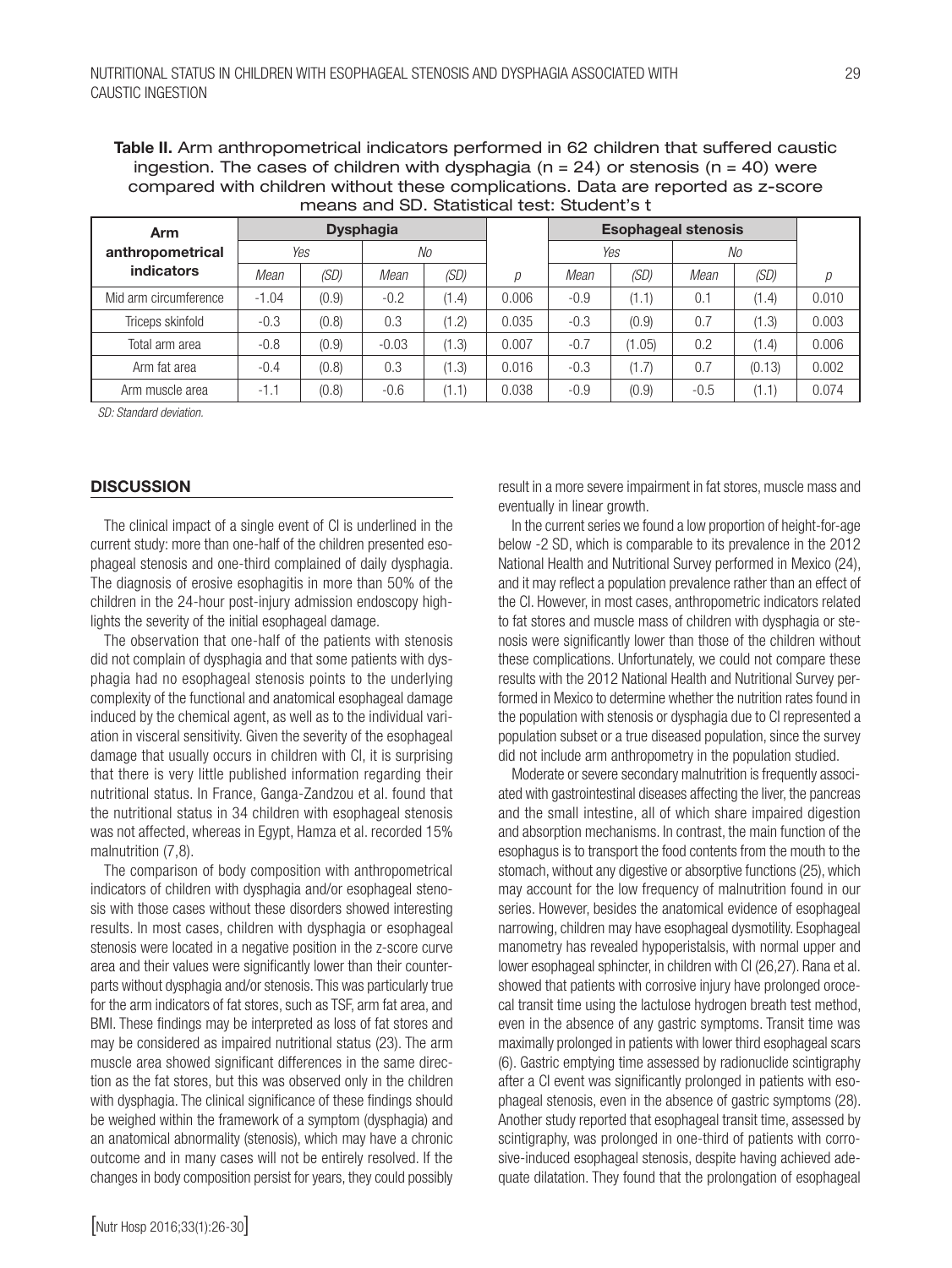Table II. Arm anthropometrical indicators performed in 62 children that suffered caustic ingestion. The cases of children with dysphagia ( $n = 24$ ) or stenosis ( $n = 40$ ) were compared with children without these complications. Data are reported as z-score means and SD. Statistical test: Student's t

| Arm                   | <b>Dysphagia</b> |       |         |       |       |        | <b>Esophageal stenosis</b> |        |        |       |
|-----------------------|------------------|-------|---------|-------|-------|--------|----------------------------|--------|--------|-------|
| anthropometrical      | Yes<br>No        |       |         | Yes   |       | No     |                            |        |        |       |
| <b>indicators</b>     | Mean             | (SD)  | Mean    | (SD)  | р     | Mean   | (SD)                       | Mean   | (SD)   | р     |
| Mid arm circumference | $-1.04$          | (0.9) | $-0.2$  | (1.4) | 0.006 | $-0.9$ | (1.1)                      | 0.1    | (1.4)  | 0.010 |
| Triceps skinfold      | $-0.3$           | (0.8) | 0.3     | (1.2) | 0.035 | $-0.3$ | (0.9)                      | 0.7    | (1.3)  | 0.003 |
| Total arm area        | $-0.8$           | (0.9) | $-0.03$ | (1.3) | 0.007 | $-0.7$ | (1.05)                     | 0.2    | (1.4)  | 0.006 |
| Arm fat area          | $-0.4$           | (0.8) | 0.3     | (1.3) | 0.016 | $-0.3$ | (1.7)                      | 0.7    | (0.13) | 0.002 |
| Arm muscle area       | $-1.1$           | (0.8) | $-0.6$  | (1.1) | 0.038 | $-0.9$ | (0.9)                      | $-0.5$ | (1.1)  | 0.074 |

*SD: Standard deviation.*

# **DISCUSSION**

The clinical impact of a single event of CI is underlined in the current study: more than one-half of the children presented esophageal stenosis and one-third complained of daily dysphagia. The diagnosis of erosive esophagitis in more than 50% of the children in the 24-hour post-injury admission endoscopy highlights the severity of the initial esophageal damage.

The observation that one-half of the patients with stenosis did not complain of dysphagia and that some patients with dysphagia had no esophageal stenosis points to the underlying complexity of the functional and anatomical esophageal damage induced by the chemical agent, as well as to the individual variation in visceral sensitivity. Given the severity of the esophageal damage that usually occurs in children with CI, it is surprising that there is very little published information regarding their nutritional status. In France, Ganga-Zandzou et al. found that the nutritional status in 34 children with esophageal stenosis was not affected, whereas in Egypt, Hamza et al. recorded 15% malnutrition (7,8).

The comparison of body composition with anthropometrical indicators of children with dysphagia and/or esophageal stenosis with those cases without these disorders showed interesting results. In most cases, children with dysphagia or esophageal stenosis were located in a negative position in the z-score curve area and their values were significantly lower than their counterparts without dysphagia and/or stenosis. This was particularly true for the arm indicators of fat stores, such as TSF, arm fat area, and BMI. These findings may be interpreted as loss of fat stores and may be considered as impaired nutritional status (23). The arm muscle area showed significant differences in the same direction as the fat stores, but this was observed only in the children with dysphagia. The clinical significance of these findings should be weighed within the framework of a symptom (dysphagia) and an anatomical abnormality (stenosis), which may have a chronic outcome and in many cases will not be entirely resolved. If the changes in body composition persist for years, they could possibly

result in a more severe impairment in fat stores, muscle mass and eventually in linear growth.

In the current series we found a low proportion of height-for-age below -2 SD, which is comparable to its prevalence in the 2012 National Health and Nutritional Survey performed in Mexico (24), and it may reflect a population prevalence rather than an effect of the CI. However, in most cases, anthropometric indicators related to fat stores and muscle mass of children with dysphagia or stenosis were significantly lower than those of the children without these complications. Unfortunately, we could not compare these results with the 2012 National Health and Nutritional Survey performed in Mexico to determine whether the nutrition rates found in the population with stenosis or dysphagia due to CI represented a population subset or a true diseased population, since the survey did not include arm anthropometry in the population studied.

Moderate or severe secondary malnutrition is frequently associated with gastrointestinal diseases affecting the liver, the pancreas and the small intestine, all of which share impaired digestion and absorption mechanisms. In contrast, the main function of the esophagus is to transport the food contents from the mouth to the stomach, without any digestive or absorptive functions (25), which may account for the low frequency of malnutrition found in our series. However, besides the anatomical evidence of esophageal narrowing, children may have esophageal dysmotility. Esophageal manometry has revealed hypoperistalsis, with normal upper and lower esophageal sphincter, in children with CI (26,27). Rana et al. showed that patients with corrosive injury have prolonged orocecal transit time using the lactulose hydrogen breath test method, even in the absence of any gastric symptoms. Transit time was maximally prolonged in patients with lower third esophageal scars (6). Gastric emptying time assessed by radionuclide scintigraphy after a CI event was significantly prolonged in patients with esophageal stenosis, even in the absence of gastric symptoms (28). Another study reported that esophageal transit time, assessed by scintigraphy, was prolonged in one-third of patients with corrosive-induced esophageal stenosis, despite having achieved adequate dilatation. They found that the prolongation of esophageal